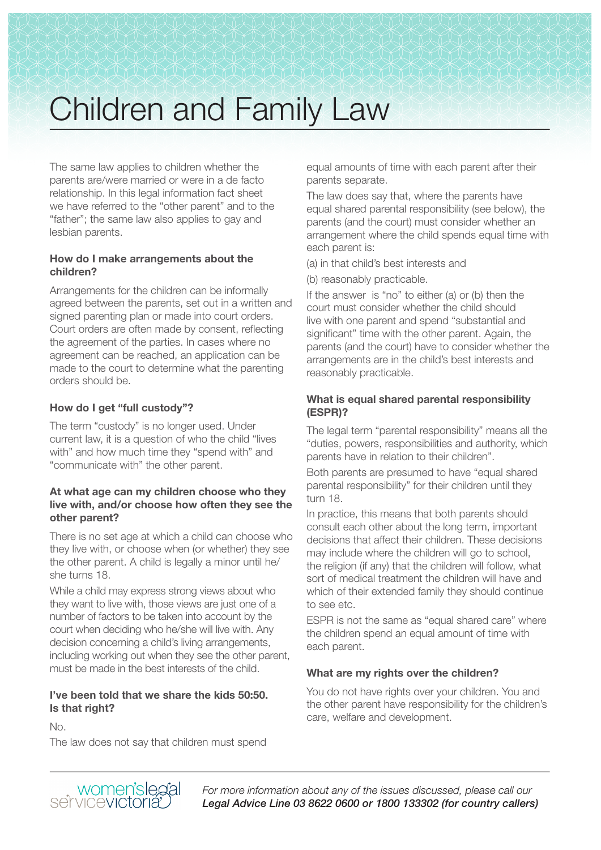# Children and Family Law

The same law applies to children whether the parents are/were married or were in a de facto relationship. In this legal information fact sheet we have referred to the "other parent" and to the "father"; the same law also applies to gay and lesbian parents.

#### **How do I make arrangements about the children?**

Arrangements for the children can be informally agreed between the parents, set out in a written and signed parenting plan or made into court orders. Court orders are often made by consent, reflecting the agreement of the parties. In cases where no agreement can be reached, an application can be made to the court to determine what the parenting orders should be.

# **How do I get "full custody"?**

The term "custody" is no longer used. Under current law, it is a question of who the child "lives with" and how much time they "spend with" and "communicate with" the other parent.

#### **At what age can my children choose who they live with, and/or choose how often they see the other parent?**

There is no set age at which a child can choose who they live with, or choose when (or whether) they see the other parent. A child is legally a minor until he/ she turns 18.

While a child may express strong views about who they want to live with, those views are just one of a number of factors to be taken into account by the court when deciding who he/she will live with. Any decision concerning a child's living arrangements, including working out when they see the other parent, must be made in the best interests of the child.

# **I've been told that we share the kids 50:50. Is that right?**

No.

The law does not say that children must spend

equal amounts of time with each parent after their parents separate.

The law does say that, where the parents have equal shared parental responsibility (see below), the parents (and the court) must consider whether an arrangement where the child spends equal time with each parent is:

(a) in that child's best interests and

(b) reasonably practicable.

If the answer is "no" to either (a) or (b) then the court must consider whether the child should live with one parent and spend "substantial and significant" time with the other parent. Again, the parents (and the court) have to consider whether the arrangements are in the child's best interests and reasonably practicable.

# **What is equal shared parental responsibility (ESPR)?**

The legal term "parental responsibility" means all the "duties, powers, responsibilities and authority, which parents have in relation to their children".

Both parents are presumed to have "equal shared parental responsibility" for their children until they turn 18.

In practice, this means that both parents should consult each other about the long term, important decisions that affect their children. These decisions may include where the children will go to school. the religion (if any) that the children will follow, what sort of medical treatment the children will have and which of their extended family they should continue to see etc.

ESPR is not the same as "equal shared care" where the children spend an equal amount of time with each parent.

# **What are my rights over the children?**

You do not have rights over your children. You and the other parent have responsibility for the children's care, welfare and development.



*For more information about any of the issues discussed, please call our Legal Advice Line 03 8622 0600 or 1800 133302 (for country callers)*